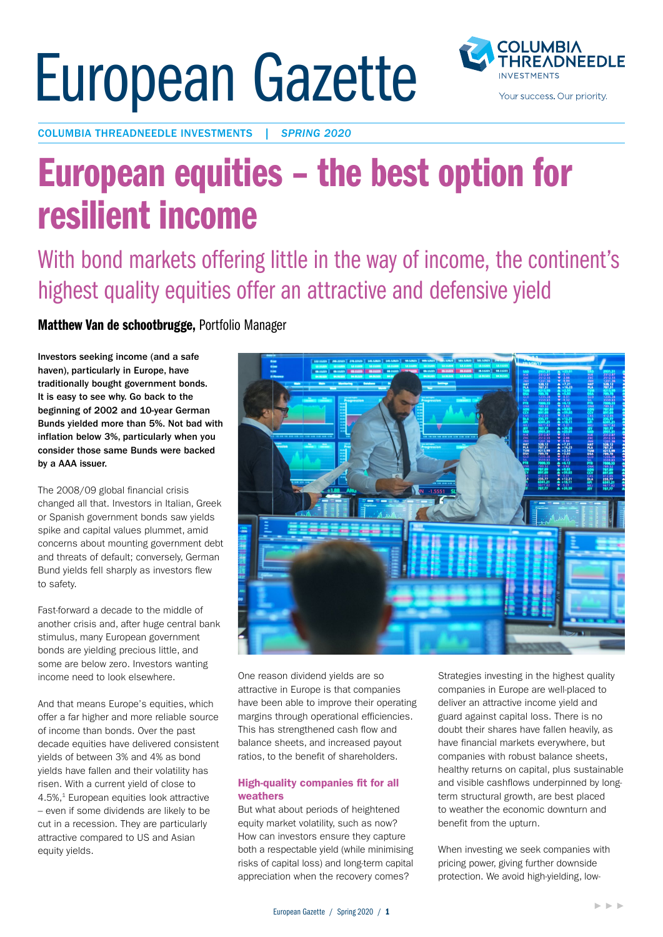# European Gazette



COLUMBIA THREADNEEDLE INVESTMENTS | *SPRING 2020*

## European equities – the best option for resilient income

With bond markets offering little in the way of income, the continent's highest quality equities offer an attractive and defensive yield

Matthew Van de schootbrugge, Portfolio Manager

Investors seeking income (and a safe haven), particularly in Europe, have traditionally bought government bonds. It is easy to see why. Go back to the beginning of 2002 and 10-year German Bunds yielded more than 5%. Not bad with inflation below 3%, particularly when you consider those same Bunds were backed by a AAA issuer.

The 2008/09 global financial crisis changed all that. Investors in Italian, Greek or Spanish government bonds saw yields spike and capital values plummet, amid concerns about mounting government debt and threats of default; conversely, German Bund yields fell sharply as investors flew to safety.

Fast-forward a decade to the middle of another crisis and, after huge central bank stimulus, many European government bonds are yielding precious little, and some are below zero. Investors wanting income need to look elsewhere.

And that means Europe's equities, which offer a far higher and more reliable source of income than bonds. Over the past decade equities have delivered consistent yields of between 3% and 4% as bond yields have fallen and their volatility has risen. With a current yield of close to 4.5%,<sup>1</sup> European equities look attractive – even if some dividends are likely to be cut in a recession. They are particularly attractive compared to US and Asian equity yields.



One reason dividend yields are so attractive in Europe is that companies have been able to improve their operating margins through operational efficiencies. This has strengthened cash flow and balance sheets, and increased payout ratios, to the benefit of shareholders.

#### High-quality companies fit for all weathers

But what about periods of heightened equity market volatility, such as now? How can investors ensure they capture both a respectable yield (while minimising risks of capital loss) and long-term capital appreciation when the recovery comes?

Strategies investing in the highest quality companies in Europe are well-placed to deliver an attractive income yield and guard against capital loss. There is no doubt their shares have fallen heavily, as have financial markets everywhere, but companies with robust balance sheets, healthy returns on capital, plus sustainable and visible cashflows underpinned by longterm structural growth, are best placed to weather the economic downturn and benefit from the upturn.

When investing we seek companies with pricing power, giving further downside protection. We avoid high-yielding, low